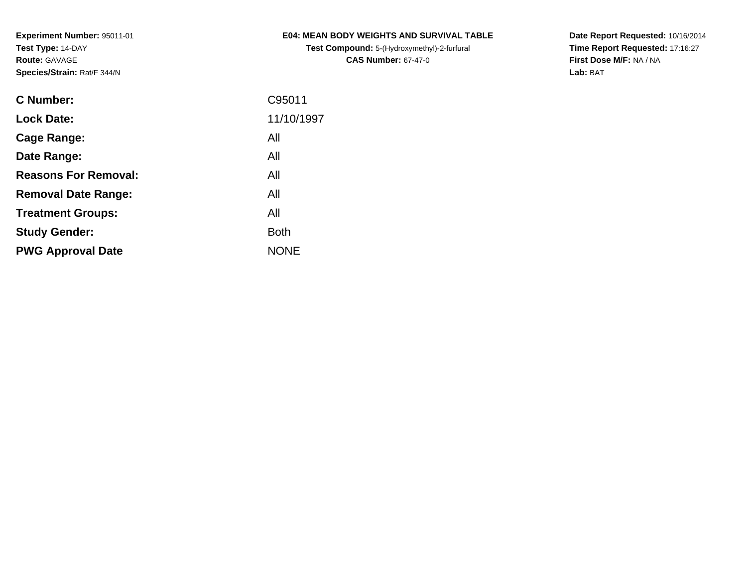**Test Compound:** 5-(Hydroxymethyl)-2-furfural **CAS Number:** 67-47-0

**Date Report Requested:** 10/16/2014 **Time Report Requested:** 17:16:27**First Dose M/F:** NA / NA**Lab:** BAT

| <b>C</b> Number:            | C95011      |
|-----------------------------|-------------|
| <b>Lock Date:</b>           | 11/10/1997  |
| Cage Range:                 | All         |
| Date Range:                 | All         |
| <b>Reasons For Removal:</b> | All         |
| <b>Removal Date Range:</b>  | All         |
| <b>Treatment Groups:</b>    | All         |
| <b>Study Gender:</b>        | <b>Both</b> |
| <b>PWG Approval Date</b>    | <b>NONE</b> |
|                             |             |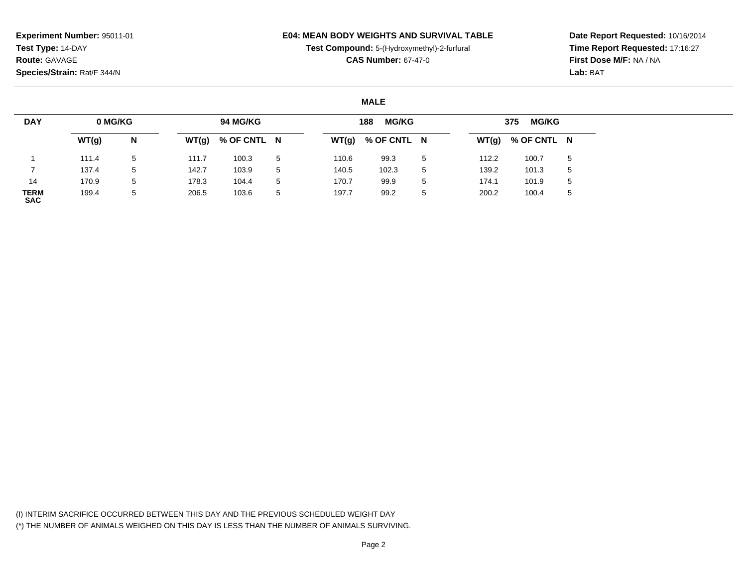## **E04: MEAN BODY WEIGHTS AND SURVIVAL TABLE**

**Test Compound:** 5-(Hydroxymethyl)-2-furfural

**CAS Number:** 67-47-0

**Date Report Requested:** 10/16/2014**Time Report Requested:** 17:16:27**First Dose M/F:** NA / NA**Lab:** BAT

#### **MALE**

| <b>DAY</b>         | 0 MG/KG |             |       | 94 MG/KG    |             |       | <b>MG/KG</b><br>188 |   |       | <b>MG/KG</b><br>375 |   |
|--------------------|---------|-------------|-------|-------------|-------------|-------|---------------------|---|-------|---------------------|---|
|                    | WT(g)   | N           | WT(g) | % OF CNTL N |             | WT(g) | % OF CNTL N         |   | WT(g) | % OF CNTL N         |   |
|                    | 111.4   | $5^{\circ}$ | 111.7 | 100.3       | -5          | 110.6 | 99.3                | 5 | 112.2 | 100.7               | 5 |
|                    | 137.4   | $5^{\circ}$ | 142.7 | 103.9       | $5^{\circ}$ | 140.5 | 102.3               | 5 | 139.2 | 101.3               | 5 |
| 14                 | 170.9   | 5           | 178.3 | 104.4       | $5^{\circ}$ | 170.7 | 99.9                | 5 | 174.1 | 101.9               | 5 |
| TERM<br><b>SAC</b> | 199.4   | 5           | 206.5 | 103.6       | -5          | 197.7 | 99.2                | 5 | 200.2 | 100.4               | 5 |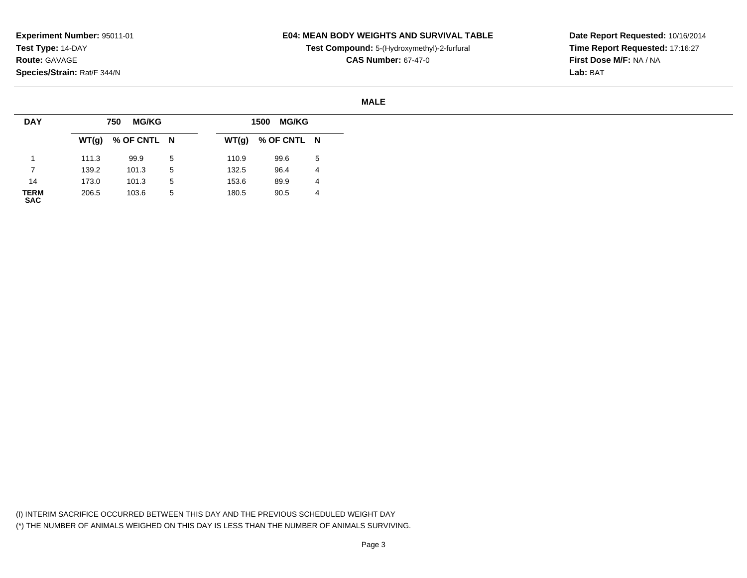# **E04: MEAN BODY WEIGHTS AND SURVIVAL TABLE**

**Test Compound:** 5-(Hydroxymethyl)-2-furfural

**CAS Number:** 67-47-0

**Date Report Requested:** 10/16/2014**Time Report Requested:** 17:16:27**First Dose M/F:** NA / NA**Lab:** BAT

#### **MALE**

| <b>DAY</b>          |       | <b>MG/KG</b><br>750 |   |       | 1500 MG/KG  |   |
|---------------------|-------|---------------------|---|-------|-------------|---|
|                     |       | $WT(g)$ % OF CNTL N |   | WT(g) | % OF CNTL N |   |
|                     | 111.3 | 99.9                | 5 | 110.9 | 99.6        | 5 |
|                     | 139.2 | 101.3               | 5 | 132.5 | 96.4        | 4 |
| 14                  | 173.0 | 101.3               | 5 | 153.6 | 89.9        | 4 |
| <b>TERM<br/>SAC</b> | 206.5 | 103.6               | 5 | 180.5 | 90.5        | 4 |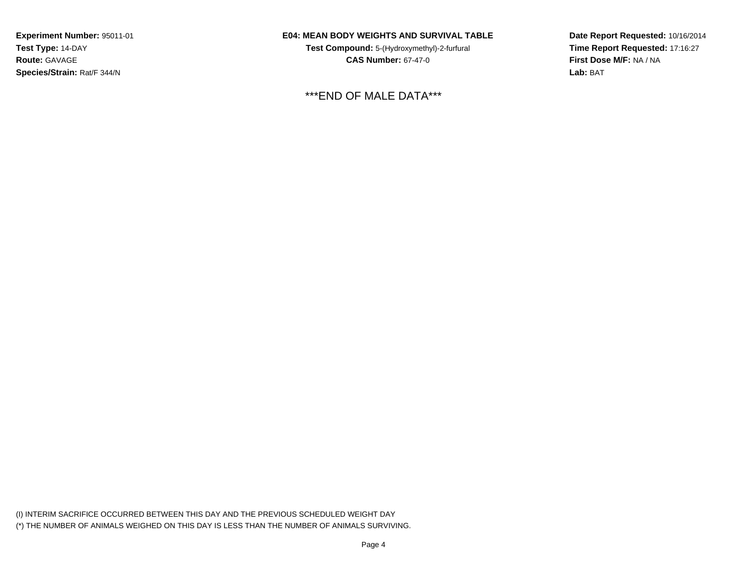# **E04: MEAN BODY WEIGHTS AND SURVIVAL TABLE**

**Test Compound:** 5-(Hydroxymethyl)-2-furfural **CAS Number:** 67-47-0

\*\*\*END OF MALE DATA\*\*\*

**Date Report Requested:** 10/16/2014**Time Report Requested:** 17:16:27**First Dose M/F:** NA / NA**Lab:** BAT

(I) INTERIM SACRIFICE OCCURRED BETWEEN THIS DAY AND THE PREVIOUS SCHEDULED WEIGHT DAY(\*) THE NUMBER OF ANIMALS WEIGHED ON THIS DAY IS LESS THAN THE NUMBER OF ANIMALS SURVIVING.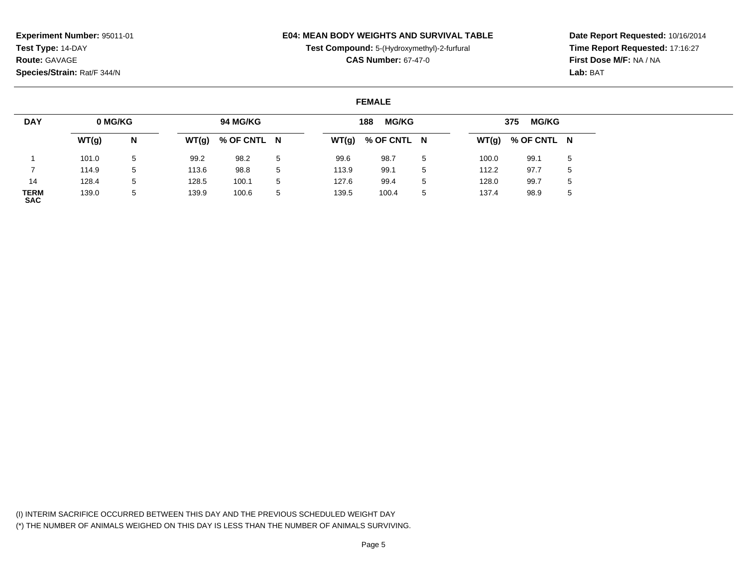# **E04: MEAN BODY WEIGHTS AND SURVIVAL TABLE**

**Test Compound:** 5-(Hydroxymethyl)-2-furfural

**CAS Number:** 67-47-0

**Date Report Requested:** 10/16/2014**Time Report Requested:** 17:16:27**First Dose M/F:** NA / NA**Lab:** BAT

#### **FEMALE**

| <b>DAY</b>                | 0 MG/KG |   |       | 94 MG/KG    |    |       | <b>MG/KG</b><br>188 |    |       | <b>MG/KG</b><br>375 |   |
|---------------------------|---------|---|-------|-------------|----|-------|---------------------|----|-------|---------------------|---|
|                           | WT(g)   | N | WT(g) | % OF CNTL N |    | WT(g) | % OF CNTL N         |    |       | $WT(g)$ % OF CNTL N |   |
|                           | 101.0   | 5 | 99.2  | 98.2        | 5  | 99.6  | 98.7                | -5 | 100.0 | 99.1                | 5 |
|                           | 114.9   | 5 | 113.6 | 98.8        | 5  | 113.9 | 99.1                | 5  | 112.2 | 97.7                | 5 |
| 14                        | 128.4   | 5 | 128.5 | 100.1       | -5 | 127.6 | 99.4                | 5  | 128.0 | 99.7                | 5 |
| <b>TERM</b><br><b>SAC</b> | 139.0   | 5 | 139.9 | 100.6       | 5  | 139.5 | 100.4               | 5  | 137.4 | 98.9                | 5 |

(I) INTERIM SACRIFICE OCCURRED BETWEEN THIS DAY AND THE PREVIOUS SCHEDULED WEIGHT DAY(\*) THE NUMBER OF ANIMALS WEIGHED ON THIS DAY IS LESS THAN THE NUMBER OF ANIMALS SURVIVING.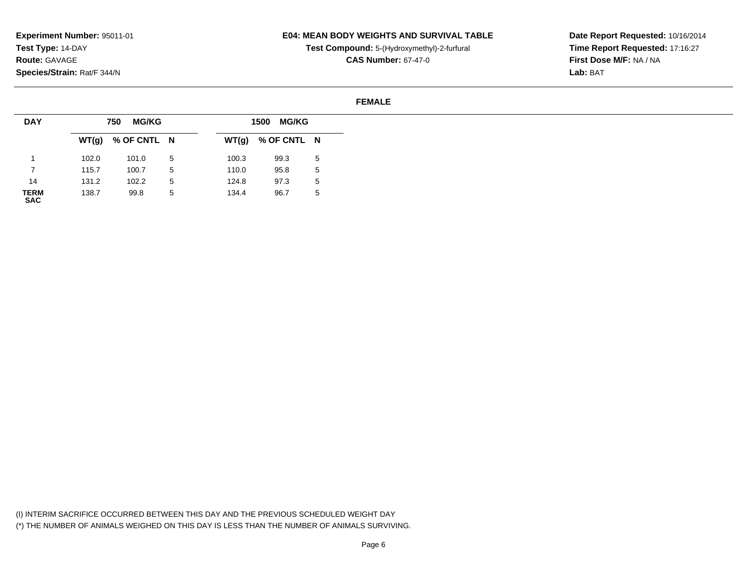### **E04: MEAN BODY WEIGHTS AND SURVIVAL TABLE**

**Test Compound:** 5-(Hydroxymethyl)-2-furfural

**CAS Number:** 67-47-0

**Date Report Requested:** 10/16/2014**Time Report Requested:** 17:16:27**First Dose M/F:** NA / NA**Lab:** BAT

#### **FEMALE**

| <b>DAY</b>                |       | <b>MG/KG</b><br>750 |   |       | 1500 MG/KG  |             |
|---------------------------|-------|---------------------|---|-------|-------------|-------------|
|                           |       | $WT(g)$ % OF CNTL N |   | WT(g) | % OF CNTL N |             |
|                           | 102.0 | 101.0               | 5 | 100.3 | 99.3        | 5           |
|                           | 115.7 | 100.7               | 5 | 110.0 | 95.8        | $\mathbf b$ |
| 14                        | 131.2 | 102.2               | 5 | 124.8 | 97.3        | $\mathbf b$ |
| <b>TERM</b><br><b>SAC</b> | 138.7 | 99.8                | 5 | 134.4 | 96.7        | ა           |